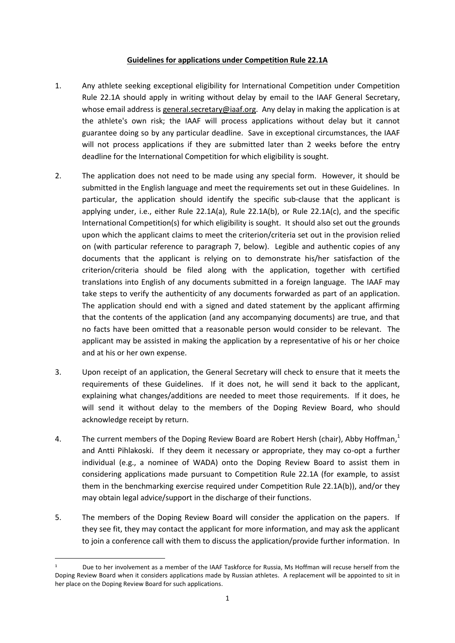## **Guidelines for applications under Competition Rule 22.1A**

- 1. Any athlete seeking exceptional eligibility for International Competition under Competition Rule 22.1A should apply in writing without delay by email to the IAAF General Secretary, whose email address is general.secretary@iaaf.org. Any delay in making the application is at the athlete's own risk; the IAAF will process applications without delay but it cannot guarantee doing so by any particular deadline. Save in exceptional circumstances, the IAAF will not process applications if they are submitted later than 2 weeks before the entry deadline for the International Competition for which eligibility is sought.
- 2. The application does not need to be made using any special form. However, it should be submitted in the English language and meet the requirements set out in these Guidelines. In particular, the application should identify the specific sub-clause that the applicant is applying under, i.e., either Rule 22.1A(a), Rule 22.1A(b), or Rule 22.1A(c), and the specific International Competition(s) for which eligibility is sought. It should also set out the grounds upon which the applicant claims to meet the criterion/criteria set out in the provision relied on (with particular reference to paragraph 7, below). Legible and authentic copies of any documents that the applicant is relying on to demonstrate his/her satisfaction of the criterion/criteria should be filed along with the application, together with certified translations into English of any documents submitted in a foreign language. The IAAF may take steps to verify the authenticity of any documents forwarded as part of an application. The application should end with a signed and dated statement by the applicant affirming that the contents of the application (and any accompanying documents) are true, and that no facts have been omitted that a reasonable person would consider to be relevant. The applicant may be assisted in making the application by a representative of his or her choice and at his or her own expense.
- 3. Upon receipt of an application, the General Secretary will check to ensure that it meets the requirements of these Guidelines. If it does not, he will send it back to the applicant, explaining what changes/additions are needed to meet those requirements. If it does, he will send it without delay to the members of the Doping Review Board, who should acknowledge receipt by return.
- 4. The current members of the Doping Review Board are Robert Hersh (chair), Abby Hoffman,<sup>1</sup> and Antti Pihlakoski. If they deem it necessary or appropriate, they may co-opt a further individual (e.g., a nominee of WADA) onto the Doping Review Board to assist them in considering applications made pursuant to Competition Rule 22.1A (for example, to assist them in the benchmarking exercise required under Competition Rule 22.1A(b)), and/or they may obtain legal advice/support in the discharge of their functions.
- 5. The members of the Doping Review Board will consider the application on the papers. If they see fit, they may contact the applicant for more information, and may ask the applicant to join a conference call with them to discuss the application/provide further information. In

**.** 

Due to her involvement as a member of the IAAF Taskforce for Russia, Ms Hoffman will recuse herself from the Doping Review Board when it considers applications made by Russian athletes. A replacement will be appointed to sit in her place on the Doping Review Board for such applications.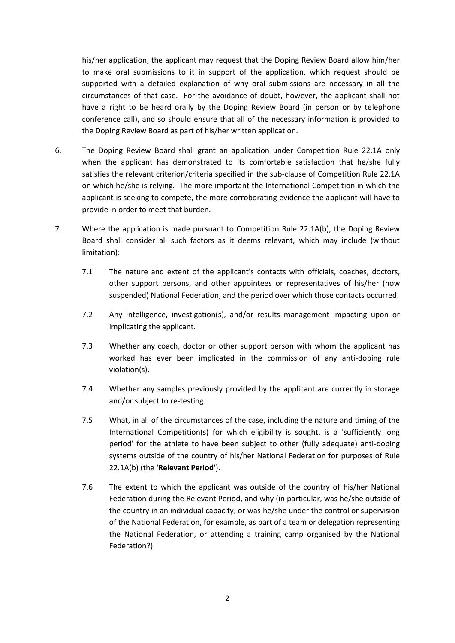his/her application, the applicant may request that the Doping Review Board allow him/her to make oral submissions to it in support of the application, which request should be supported with a detailed explanation of why oral submissions are necessary in all the circumstances of that case. For the avoidance of doubt, however, the applicant shall not have a right to be heard orally by the Doping Review Board (in person or by telephone conference call), and so should ensure that all of the necessary information is provided to the Doping Review Board as part of his/her written application.

- 6. The Doping Review Board shall grant an application under Competition Rule 22.1A only when the applicant has demonstrated to its comfortable satisfaction that he/she fully satisfies the relevant criterion/criteria specified in the sub-clause of Competition Rule 22.1A on which he/she is relying. The more important the International Competition in which the applicant is seeking to compete, the more corroborating evidence the applicant will have to provide in order to meet that burden.
- 7. Where the application is made pursuant to Competition Rule 22.1A(b), the Doping Review Board shall consider all such factors as it deems relevant, which may include (without limitation):
	- 7.1 The nature and extent of the applicant's contacts with officials, coaches, doctors, other support persons, and other appointees or representatives of his/her (now suspended) National Federation, and the period over which those contacts occurred.
	- 7.2 Any intelligence, investigation(s), and/or results management impacting upon or implicating the applicant.
	- 7.3 Whether any coach, doctor or other support person with whom the applicant has worked has ever been implicated in the commission of any anti-doping rule violation(s).
	- 7.4 Whether any samples previously provided by the applicant are currently in storage and/or subject to re-testing.
	- 7.5 What, in all of the circumstances of the case, including the nature and timing of the International Competition(s) for which eligibility is sought, is a 'sufficiently long period' for the athlete to have been subject to other (fully adequate) anti-doping systems outside of the country of his/her National Federation for purposes of Rule 22.1A(b) (the **'Relevant Period'**).
	- 7.6 The extent to which the applicant was outside of the country of his/her National Federation during the Relevant Period, and why (in particular, was he/she outside of the country in an individual capacity, or was he/she under the control or supervision of the National Federation, for example, as part of a team or delegation representing the National Federation, or attending a training camp organised by the National Federation?).